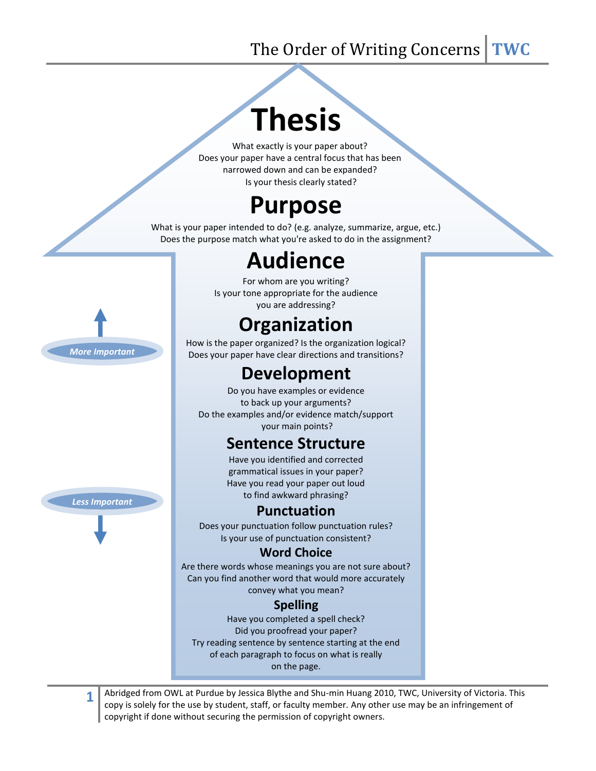## The Order of Writing Concerns **TWC**

# **Thesis**

What exactly is your paper about? Does your paper have a central focus that has been narrowed down and can be expanded? Is your thesis clearly stated?

# **Purpose**

What is your paper intended to do? (e.g. analyze, summarize, argue, etc.) Does the purpose match what you're asked to do in the assignment?

## **Audience**

For whom are you writing? Is your tone appropriate for the audience you are addressing?

## **Organization**

How is the paper organized? Is the organization logical? Does your paper have clear directions and transitions?

### **Development**

Do you have examples or evidence to back up your arguments? Do the examples and/or evidence match/support your main points?

#### **Sentence Structure**

Have you identified and corrected grammatical issues in your paper? Have you read your paper out loud to find awkward phrasing?

#### **Punctuation**

Does your punctuation follow punctuation rules? Is your use of punctuation consistent?

#### **Word Choice**

Are there words whose meanings you are not sure about? Can you find another word that would more accurately convey what you mean?

#### **Spelling**

Have you completed a spell check? Did you proofread your paper? Try reading sentence by sentence starting at the end of each paragraph to focus on what is really on the page.

Abridged from OWL at Purdue by Jessica Blythe and Shu-min Huang 2010, TWC, University of Victoria. This copy is solely for the use by student, staff, or faculty member. Any other use may be an infringement of copyright if done without securing the permission of copyright owners.

*More Important*



**1**